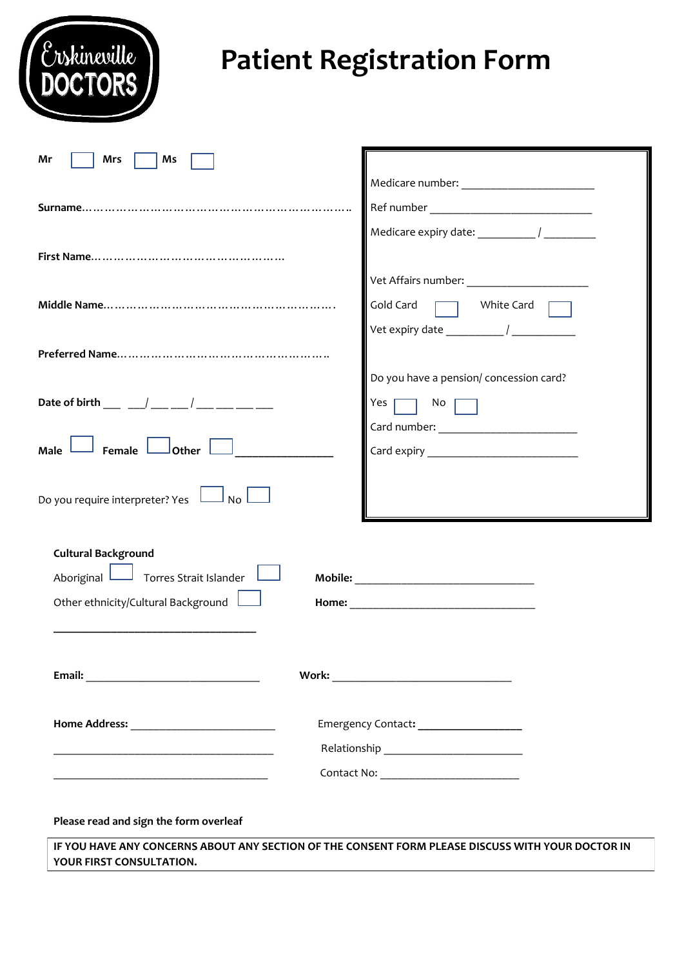| rskineville                                                                                                                 | <b>Patient Registration Form</b>                     |
|-----------------------------------------------------------------------------------------------------------------------------|------------------------------------------------------|
| Mr<br>Mrs<br>Ms                                                                                                             |                                                      |
|                                                                                                                             |                                                      |
|                                                                                                                             |                                                      |
|                                                                                                                             | White Card<br>Gold Card                              |
|                                                                                                                             |                                                      |
| Date of birth ___ __ / ___ __ / ___ __ __ __                                                                                | Do you have a pension/ concession card?<br>No<br>Yes |
| Female<br>Other<br>Do you require interpreter? Yes                                                                          |                                                      |
| <b>Cultural Background</b><br>$\Box$ Torres Strait Islander $\Box$<br>Aboriginal L<br>Other ethnicity/Cultural Background L |                                                      |
|                                                                                                                             |                                                      |
|                                                                                                                             | Emergency Contact: ___________________               |
|                                                                                                                             |                                                      |
| Please read and sign the form overleaf                                                                                      |                                                      |